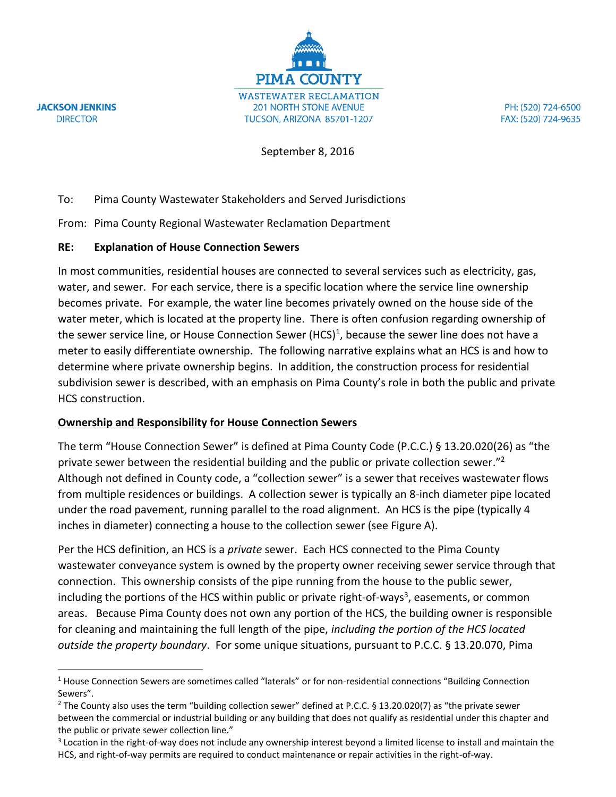**JACKSON JENKINS DIRECTOR** 

 $\overline{a}$ 

**PIMA COUNTY WASTEWATER RECLAMATION 201 NORTH STONE AVENUE** TUCSON, ARIZONA 85701-1207

PH: (520) 724-6500 FAX: (520) 724-9635

September 8, 2016

# To: Pima County Wastewater Stakeholders and Served Jurisdictions

From: Pima County Regional Wastewater Reclamation Department

## **RE: Explanation of House Connection Sewers**

In most communities, residential houses are connected to several services such as electricity, gas, water, and sewer. For each service, there is a specific location where the service line ownership becomes private. For example, the water line becomes privately owned on the house side of the water meter, which is located at the property line. There is often confusion regarding ownership of the sewer service line, or House Connection Sewer (HCS)<sup>1</sup>, because the sewer line does not have a meter to easily differentiate ownership. The following narrative explains what an HCS is and how to determine where private ownership begins. In addition, the construction process for residential subdivision sewer is described, with an emphasis on Pima County's role in both the public and private HCS construction.

# **Ownership and Responsibility for House Connection Sewers**

The term "House Connection Sewer" is defined at Pima County Code (P.C.C.) § 13.20.020(26) as "the private sewer between the residential building and the public or private collection sewer."<sup>2</sup> Although not defined in County code, a "collection sewer" is a sewer that receives wastewater flows from multiple residences or buildings. A collection sewer is typically an 8-inch diameter pipe located under the road pavement, running parallel to the road alignment. An HCS is the pipe (typically 4 inches in diameter) connecting a house to the collection sewer (see Figure A).

Per the HCS definition, an HCS is a *private* sewer. Each HCS connected to the Pima County wastewater conveyance system is owned by the property owner receiving sewer service through that connection. This ownership consists of the pipe running from the house to the public sewer, including the portions of the HCS within public or private right-of-ways<sup>3</sup>, easements, or common areas. Because Pima County does not own any portion of the HCS, the building owner is responsible for cleaning and maintaining the full length of the pipe, *including the portion of the HCS located outside the property boundary*. For some unique situations, pursuant to P.C.C. § 13.20.070, Pima

 $3$  Location in the right-of-way does not include any ownership interest beyond a limited license to install and maintain the HCS, and right-of-way permits are required to conduct maintenance or repair activities in the right-of-way.

<sup>&</sup>lt;sup>1</sup> House Connection Sewers are sometimes called "laterals" or for non-residential connections "Building Connection Sewers".

<sup>&</sup>lt;sup>2</sup> The County also uses the term "building collection sewer" defined at P.C.C. § 13.20.020(7) as "the private sewer between the commercial or industrial building or any building that does not qualify as residential under this chapter and the public or private sewer collection line."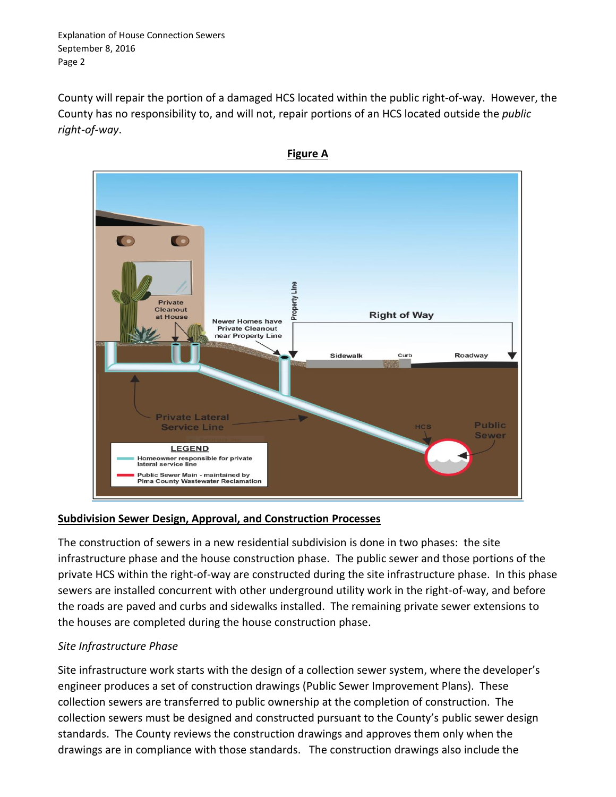Explanation of House Connection Sewers September 8, 2016 Page 2

County will repair the portion of a damaged HCS located within the public right-of-way. However, the County has no responsibility to, and will not, repair portions of an HCS located outside the *public right-of-way*.



### **Subdivision Sewer Design, Approval, and Construction Processes**

The construction of sewers in a new residential subdivision is done in two phases: the site infrastructure phase and the house construction phase. The public sewer and those portions of the private HCS within the right-of-way are constructed during the site infrastructure phase. In this phase sewers are installed concurrent with other underground utility work in the right-of-way, and before the roads are paved and curbs and sidewalks installed. The remaining private sewer extensions to the houses are completed during the house construction phase.

# *Site Infrastructure Phase*

Site infrastructure work starts with the design of a collection sewer system, where the developer's engineer produces a set of construction drawings (Public Sewer Improvement Plans). These collection sewers are transferred to public ownership at the completion of construction. The collection sewers must be designed and constructed pursuant to the County's public sewer design standards. The County reviews the construction drawings and approves them only when the drawings are in compliance with those standards. The construction drawings also include the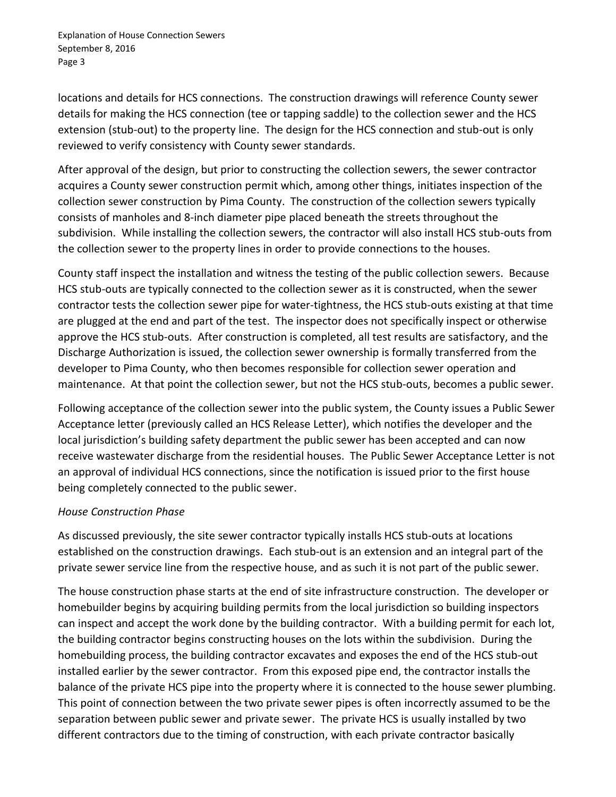Explanation of House Connection Sewers September 8, 2016 Page 3

locations and details for HCS connections. The construction drawings will reference County sewer details for making the HCS connection (tee or tapping saddle) to the collection sewer and the HCS extension (stub-out) to the property line. The design for the HCS connection and stub-out is only reviewed to verify consistency with County sewer standards.

After approval of the design, but prior to constructing the collection sewers, the sewer contractor acquires a County sewer construction permit which, among other things, initiates inspection of the collection sewer construction by Pima County. The construction of the collection sewers typically consists of manholes and 8-inch diameter pipe placed beneath the streets throughout the subdivision. While installing the collection sewers, the contractor will also install HCS stub-outs from the collection sewer to the property lines in order to provide connections to the houses.

County staff inspect the installation and witness the testing of the public collection sewers. Because HCS stub-outs are typically connected to the collection sewer as it is constructed, when the sewer contractor tests the collection sewer pipe for water-tightness, the HCS stub-outs existing at that time are plugged at the end and part of the test. The inspector does not specifically inspect or otherwise approve the HCS stub-outs. After construction is completed, all test results are satisfactory, and the Discharge Authorization is issued, the collection sewer ownership is formally transferred from the developer to Pima County, who then becomes responsible for collection sewer operation and maintenance. At that point the collection sewer, but not the HCS stub-outs, becomes a public sewer.

Following acceptance of the collection sewer into the public system, the County issues a Public Sewer Acceptance letter (previously called an HCS Release Letter), which notifies the developer and the local jurisdiction's building safety department the public sewer has been accepted and can now receive wastewater discharge from the residential houses. The Public Sewer Acceptance Letter is not an approval of individual HCS connections, since the notification is issued prior to the first house being completely connected to the public sewer.

### *House Construction Phase*

As discussed previously, the site sewer contractor typically installs HCS stub-outs at locations established on the construction drawings. Each stub-out is an extension and an integral part of the private sewer service line from the respective house, and as such it is not part of the public sewer.

The house construction phase starts at the end of site infrastructure construction. The developer or homebuilder begins by acquiring building permits from the local jurisdiction so building inspectors can inspect and accept the work done by the building contractor. With a building permit for each lot, the building contractor begins constructing houses on the lots within the subdivision. During the homebuilding process, the building contractor excavates and exposes the end of the HCS stub-out installed earlier by the sewer contractor. From this exposed pipe end, the contractor installs the balance of the private HCS pipe into the property where it is connected to the house sewer plumbing. This point of connection between the two private sewer pipes is often incorrectly assumed to be the separation between public sewer and private sewer. The private HCS is usually installed by two different contractors due to the timing of construction, with each private contractor basically